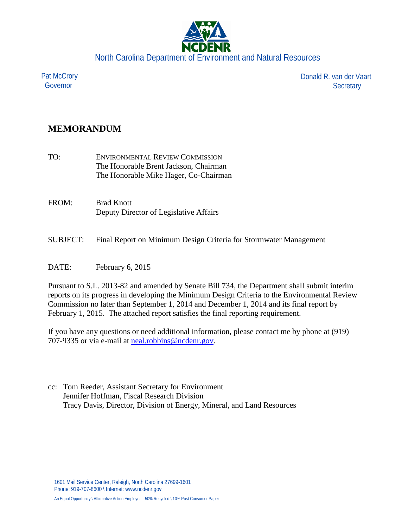

Pat McCrory Governor

Donald R. van der Vaart **Secretary** 

## **MEMORANDUM**

- TO: ENVIRONMENTAL REVIEW COMMISSION The Honorable Brent Jackson, Chairman The Honorable Mike Hager, Co-Chairman
- FROM: Brad Knott Deputy Director of Legislative Affairs
- SUBJECT: Final Report on Minimum Design Criteria for Stormwater Management
- DATE: February 6, 2015

Pursuant to S.L. 2013-82 and amended by Senate Bill 734, the Department shall submit interim reports on its progress in developing the Minimum Design Criteria to the Environmental Review Commission no later than September 1, 2014 and December 1, 2014 and its final report by February 1, 2015. The attached report satisfies the final reporting requirement.

If you have any questions or need additional information, please contact me by phone at (919) 707-9335 or via e-mail at [neal.robbins@ncdenr.gov.](mailto:neal.robbins@ncdenr.gov)

cc: Tom Reeder, Assistant Secretary for Environment Jennifer Hoffman, Fiscal Research Division Tracy Davis, Director, Division of Energy, Mineral, and Land Resources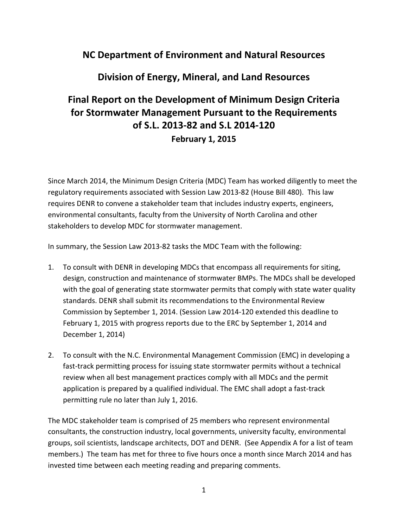# **NC Department of Environment and Natural Resources**

## **Division of Energy, Mineral, and Land Resources**

# **Final Report on the Development of Minimum Design Criteria for Stormwater Management Pursuant to the Requirements of S.L. 2013-82 and S.L 2014-120 February 1, 2015**

Since March 2014, the Minimum Design Criteria (MDC) Team has worked diligently to meet the regulatory requirements associated with Session Law 2013-82 (House Bill 480). This law requires DENR to convene a stakeholder team that includes industry experts, engineers, environmental consultants, faculty from the University of North Carolina and other stakeholders to develop MDC for stormwater management.

In summary, the Session Law 2013-82 tasks the MDC Team with the following:

- 1. To consult with DENR in developing MDCs that encompass all requirements for siting, design, construction and maintenance of stormwater BMPs. The MDCs shall be developed with the goal of generating state stormwater permits that comply with state water quality standards. DENR shall submit its recommendations to the Environmental Review Commission by September 1, 2014. (Session Law 2014-120 extended this deadline to February 1, 2015 with progress reports due to the ERC by September 1, 2014 and December 1, 2014)
- 2. To consult with the N.C. Environmental Management Commission (EMC) in developing a fast-track permitting process for issuing state stormwater permits without a technical review when all best management practices comply with all MDCs and the permit application is prepared by a qualified individual. The EMC shall adopt a fast-track permitting rule no later than July 1, 2016.

The MDC stakeholder team is comprised of 25 members who represent environmental consultants, the construction industry, local governments, university faculty, environmental groups, soil scientists, landscape architects, DOT and DENR. (See Appendix A for a list of team members.) The team has met for three to five hours once a month since March 2014 and has invested time between each meeting reading and preparing comments.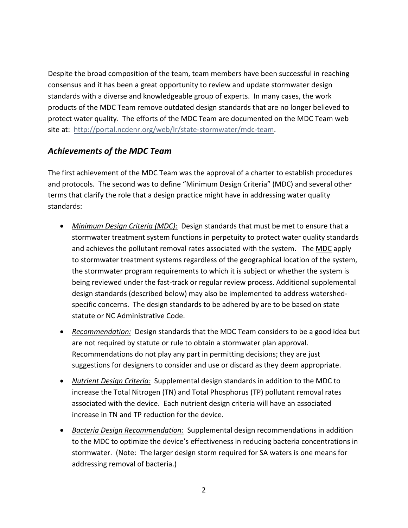Despite the broad composition of the team, team members have been successful in reaching consensus and it has been a great opportunity to review and update stormwater design standards with a diverse and knowledgeable group of experts. In many cases, the work products of the MDC Team remove outdated design standards that are no longer believed to protect water quality. The efforts of the MDC Team are documented on the MDC Team web site at: [http://portal.ncdenr.org/web/lr/state-stormwater/mdc-team.](http://portal.ncdenr.org/web/lr/state-stormwater/mdc-team)

## *Achievements of the MDC Team*

The first achievement of the MDC Team was the approval of a charter to establish procedures and protocols. The second was to define "Minimum Design Criteria" (MDC) and several other terms that clarify the role that a design practice might have in addressing water quality standards:

- *Minimum Design Criteria (MDC):* Design standards that must be met to ensure that a stormwater treatment system functions in perpetuity to protect water quality standards and achieves the pollutant removal rates associated with the system. The MDC apply to stormwater treatment systems regardless of the geographical location of the system, the stormwater program requirements to which it is subject or whether the system is being reviewed under the fast-track or regular review process. Additional supplemental design standards (described below) may also be implemented to address watershedspecific concerns. The design standards to be adhered by are to be based on state statute or NC Administrative Code.
- *Recommendation:* Design standards that the MDC Team considers to be a good idea but are not required by statute or rule to obtain a stormwater plan approval. Recommendations do not play any part in permitting decisions; they are just suggestions for designers to consider and use or discard as they deem appropriate.
- *Nutrient Design Criteria:* Supplemental design standards in addition to the MDC to increase the Total Nitrogen (TN) and Total Phosphorus (TP) pollutant removal rates associated with the device. Each nutrient design criteria will have an associated increase in TN and TP reduction for the device.
- *Bacteria Design Recommendation:* Supplemental design recommendations in addition to the MDC to optimize the device's effectiveness in reducing bacteria concentrations in stormwater. (Note: The larger design storm required for SA waters is one means for addressing removal of bacteria.)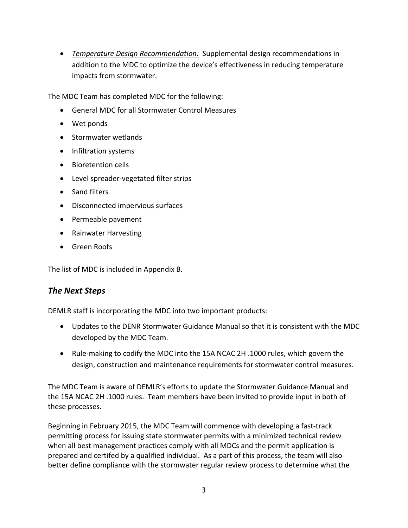• *Temperature Design Recommendation:* Supplemental design recommendations in addition to the MDC to optimize the device's effectiveness in reducing temperature impacts from stormwater.

The MDC Team has completed MDC for the following:

- General MDC for all Stormwater Control Measures
- Wet ponds
- Stormwater wetlands
- Infiltration systems
- Bioretention cells
- Level spreader-vegetated filter strips
- Sand filters
- Disconnected impervious surfaces
- Permeable pavement
- Rainwater Harvesting
- Green Roofs

The list of MDC is included in Appendix B.

#### *The Next Steps*

DEMLR staff is incorporating the MDC into two important products:

- Updates to the DENR Stormwater Guidance Manual so that it is consistent with the MDC developed by the MDC Team.
- Rule-making to codify the MDC into the 15A NCAC 2H .1000 rules, which govern the design, construction and maintenance requirements for stormwater control measures.

The MDC Team is aware of DEMLR's efforts to update the Stormwater Guidance Manual and the 15A NCAC 2H .1000 rules. Team members have been invited to provide input in both of these processes.

Beginning in February 2015, the MDC Team will commence with developing a fast-track permitting process for issuing state stormwater permits with a minimized technical review when all best management practices comply with all MDCs and the permit application is prepared and certifed by a qualified individual. As a part of this process, the team will also better define compliance with the stormwater regular review process to determine what the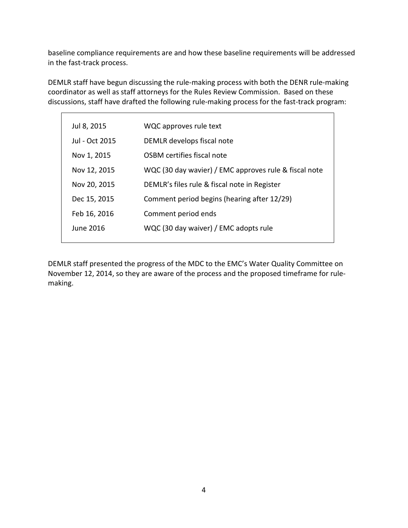baseline compliance requirements are and how these baseline requirements will be addressed in the fast-track process.

DEMLR staff have begun discussing the rule-making process with both the DENR rule-making coordinator as well as staff attorneys for the Rules Review Commission. Based on these discussions, staff have drafted the following rule-making process for the fast-track program:

| Jul 8, 2015    | WQC approves rule text                                |
|----------------|-------------------------------------------------------|
| Jul - Oct 2015 | DEMLR develops fiscal note                            |
| Nov 1, 2015    | OSBM certifies fiscal note                            |
| Nov 12, 2015   | WQC (30 day wavier) / EMC approves rule & fiscal note |
| Nov 20, 2015   | DEMLR's files rule & fiscal note in Register          |
| Dec 15, 2015   | Comment period begins (hearing after 12/29)           |
| Feb 16, 2016   | Comment period ends                                   |
| June 2016.     | WQC (30 day waiver) / EMC adopts rule                 |
|                |                                                       |

DEMLR staff presented the progress of the MDC to the EMC's Water Quality Committee on November 12, 2014, so they are aware of the process and the proposed timeframe for rulemaking.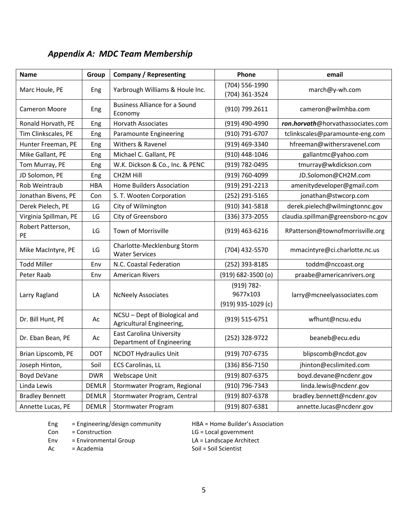| Name                    | Group        | <b>Company / Representing</b>                                | Phone                                        | email                              |
|-------------------------|--------------|--------------------------------------------------------------|----------------------------------------------|------------------------------------|
| Marc Houle, PE          | Eng          | Yarbrough Williams & Houle Inc.                              | (704) 556-1990                               | march@y-wh.com                     |
|                         |              |                                                              | (704) 361-3524                               |                                    |
| <b>Cameron Moore</b>    | Eng          | <b>Business Alliance for a Sound</b><br>Economy              | (910) 799.2611                               | cameron@wilmhba.com                |
| Ronald Horvath, PE      | Eng          | <b>Horvath Associates</b>                                    | (919) 490-4990                               | ron.horvath@horvathassociates.com  |
| Tim Clinkscales, PE     | Eng          | Paramounte Engineering                                       | (910) 791-6707                               | tclinkscales@paramounte-eng.com    |
| Hunter Freeman, PE      | Eng          | Withers & Ravenel                                            | (919) 469-3340                               | hfreeman@withersravenel.com        |
| Mike Gallant, PE        | Eng          | Michael C. Gallant, PE                                       | (910) 448-1046                               | gallantmc@yahoo.com                |
| Tom Murray, PE          | Eng          | W.K. Dickson & Co., Inc. & PENC                              | (919) 782-0495                               | tmurray@wkdickson.com              |
| JD Solomon, PE          | Eng          | CH2M Hill                                                    | (919) 760-4099                               | JD.Solomon@CH2M.com                |
| Rob Weintraub           | <b>HBA</b>   | Home Builders Association                                    | (919) 291-2213                               | amenitydeveloper@gmail.com         |
| Jonathan Bivens, PE     | Con          | S. T. Wooten Corporation                                     | (252) 291-5165                               | jonathan@stwcorp.com               |
| Derek Pielech, PE       | LG           | City of Wilmington                                           | (910) 341-5818                               | derek.pielech@wilmingtonnc.gov     |
| Virginia Spillman, PE   | LG           | City of Greensboro                                           | (336) 373-2055                               | claudia.spillman@greensboro-nc.gov |
| Robert Patterson,<br>PE | LG           | Town of Morrisville                                          | (919) 463-6216                               | RPatterson@townofmorrisville.org   |
| Mike MacIntyre, PE      | LG           | Charlotte-Mecklenburg Storm<br><b>Water Services</b>         | (704) 432-5570                               | mmacintyre@ci.charlotte.nc.us      |
| <b>Todd Miller</b>      | Env          | N.C. Coastal Federation                                      | (252) 393-8185                               | toddm@nccoast.org                  |
| Peter Raab              | Env          | <b>American Rivers</b>                                       | $(919) 682 - 3500$ (o)                       | praabe@americanrivers.org          |
| Larry Ragland           | LA           | <b>NcNeely Associates</b>                                    | (919) 782-<br>9677x103<br>(919) 935-1029 (c) | larry@mcneelyassociates.com        |
| Dr. Bill Hunt, PE       | Ac           | NCSU - Dept of Biological and<br>Agricultural Engineering,   | (919) 515-6751                               | wfhunt@ncsu.edu                    |
| Dr. Eban Bean, PE       | Ac           | <b>East Carolina University</b><br>Department of Engineering | (252) 328-9722                               | beaneb@ecu.edu                     |
| Brian Lipscomb, PE      | <b>DOT</b>   | <b>NCDOT Hydraulics Unit</b>                                 | (919) 707-6735                               | blipscomb@ncdot.gov                |
| Joseph Hinton,          | Soil         | <b>ECS Carolinas, LL</b>                                     | (336) 856-7150                               | jhinton@ecslimited.com             |
| Boyd DeVane             | <b>DWR</b>   | Webscape Unit                                                | (919) 807-6375                               | boyd.devane@ncdenr.gov             |
| Linda Lewis             | <b>DEMLR</b> | Stormwater Program, Regional                                 | (910) 796-7343                               | linda.lewis@ncdenr.gov             |
| <b>Bradley Bennett</b>  | <b>DEMLR</b> | Stormwater Program, Central                                  | (919) 807-6378                               | bradley.bennett@ncdenr.gov         |
| Annette Lucas, PE       | <b>DEMLR</b> | Stormwater Program                                           | (919) 807-6381                               | annette.lucas@ncdenr.gov           |

# *Appendix A: MDC Team Membershi[p](http://portal.ncdenr.org/c/document_library/get_file?uuid=bed416a3-ddd0-4ea7-9b91-0a484df2e561&groupId=38334)*

Eng = Engineering/design community HBA = Home Builder's Association

Con = Construction LG = Local government

Env = Environmental Group<br>  $AC = Academia$ <br>  $Soil = Soli Scientifici Science$ 

Ac = Academia Soil = Soil = Soil Scientist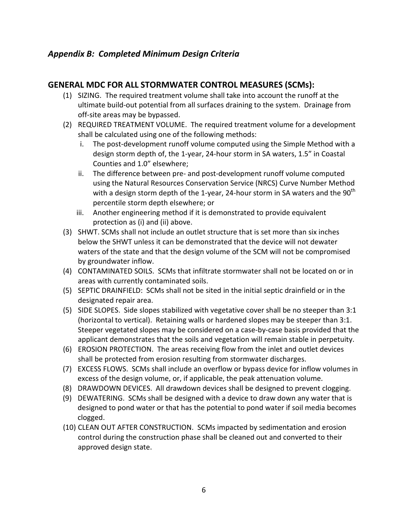## *Appendix B: Completed Minimum Design Criteria*

## **GENERAL MDC FOR ALL STORMWATER CONTROL MEASURES (SCMs):**

- (1) SIZING. The required treatment volume shall take into account the runoff at the ultimate build-out potential from all surfaces draining to the system. Drainage from off-site areas may be bypassed.
- (2) REQUIRED TREATMENT VOLUME. The required treatment volume for a development shall be calculated using one of the following methods:
	- i. The post-development runoff volume computed using the Simple Method with a design storm depth of, the 1-year, 24-hour storm in SA waters, 1.5" in Coastal Counties and 1.0" elsewhere;
	- ii. The difference between pre- and post-development runoff volume computed using the Natural Resources Conservation Service (NRCS) Curve Number Method with a design storm depth of the 1-year, 24-hour storm in SA waters and the  $90<sup>th</sup>$ percentile storm depth elsewhere; or
	- iii. Another engineering method if it is demonstrated to provide equivalent protection as (i) and (ii) above.
- (3) SHWT. SCMs shall not include an outlet structure that is set more than six inches below the SHWT unless it can be demonstrated that the device will not dewater waters of the state and that the design volume of the SCM will not be compromised by groundwater inflow.
- (4) CONTAMINATED SOILS. SCMs that infiltrate stormwater shall not be located on or in areas with currently contaminated soils.
- (5) SEPTIC DRAINFIELD: SCMs shall not be sited in the initial septic drainfield or in the designated repair area.
- (5) SIDE SLOPES. Side slopes stabilized with vegetative cover shall be no steeper than 3:1 (horizontal to vertical). Retaining walls or hardened slopes may be steeper than 3:1. Steeper vegetated slopes may be considered on a case-by-case basis provided that the applicant demonstrates that the soils and vegetation will remain stable in perpetuity.
- (6) EROSION PROTECTION. The areas receiving flow from the inlet and outlet devices shall be protected from erosion resulting from stormwater discharges.
- (7) EXCESS FLOWS. SCMs shall include an overflow or bypass device for inflow volumes in excess of the design volume, or, if applicable, the peak attenuation volume.
- (8) DRAWDOWN DEVICES. All drawdown devices shall be designed to prevent clogging.
- (9) DEWATERING. SCMs shall be designed with a device to draw down any water that is designed to pond water or that has the potential to pond water if soil media becomes clogged.
- (10) CLEAN OUT AFTER CONSTRUCTION. SCMs impacted by sedimentation and erosion control during the construction phase shall be cleaned out and converted to their approved design state.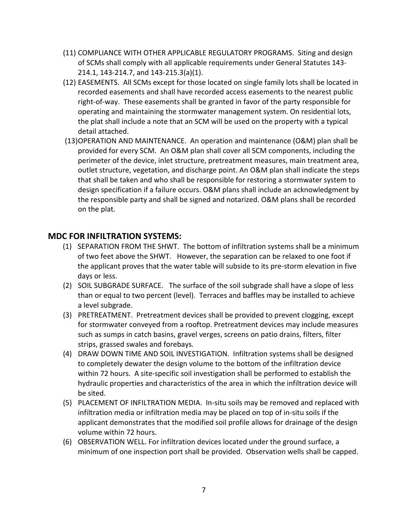- (11) COMPLIANCE WITH OTHER APPLICABLE REGULATORY PROGRAMS. Siting and design of SCMs shall comply with all applicable requirements under General Statutes 143- 214.1, 143-214.7, and 143-215.3(a)(1).
- (12) EASEMENTS. All SCMs except for those located on single family lots shall be located in recorded easements and shall have recorded access easements to the nearest public right-of-way. These easements shall be granted in favor of the party responsible for operating and maintaining the stormwater management system. On residential lots, the plat shall include a note that an SCM will be used on the property with a typical detail attached.
- (13)OPERATION AND MAINTENANCE. An operation and maintenance (O&M) plan shall be provided for every SCM. An O&M plan shall cover all SCM components, including the perimeter of the device, inlet structure, pretreatment measures, main treatment area, outlet structure, vegetation, and discharge point. An O&M plan shall indicate the steps that shall be taken and who shall be responsible for restoring a stormwater system to design specification if a failure occurs. O&M plans shall include an acknowledgment by the responsible party and shall be signed and notarized. O&M plans shall be recorded on the plat.

#### **MDC FOR INFILTRATION SYSTEMS:**

- (1) SEPARATION FROM THE SHWT. The bottom of infiltration systems shall be a minimum of two feet above the SHWT. However, the separation can be relaxed to one foot if the applicant proves that the water table will subside to its pre-storm elevation in five days or less.
- (2) SOIL SUBGRADE SURFACE. The surface of the soil subgrade shall have a slope of less than or equal to two percent (level). Terraces and baffles may be installed to achieve a level subgrade.
- (3) PRETREATMENT. Pretreatment devices shall be provided to prevent clogging, except for stormwater conveyed from a rooftop. Pretreatment devices may include measures such as sumps in catch basins, gravel verges, screens on patio drains, filters, filter strips, grassed swales and forebays.
- (4) DRAW DOWN TIME AND SOIL INVESTIGATION. Infiltration systems shall be designed to completely dewater the design volume to the bottom of the infiltration device within 72 hours. A site-specific soil investigation shall be performed to establish the hydraulic properties and characteristics of the area in which the infiltration device will be sited.
- (5) PLACEMENT OF INFILTRATION MEDIA. In-situ soils may be removed and replaced with infiltration media or infiltration media may be placed on top of in-situ soils if the applicant demonstrates that the modified soil profile allows for drainage of the design volume within 72 hours.
- (6) OBSERVATION WELL. For infiltration devices located under the ground surface, a minimum of one inspection port shall be provided. Observation wells shall be capped.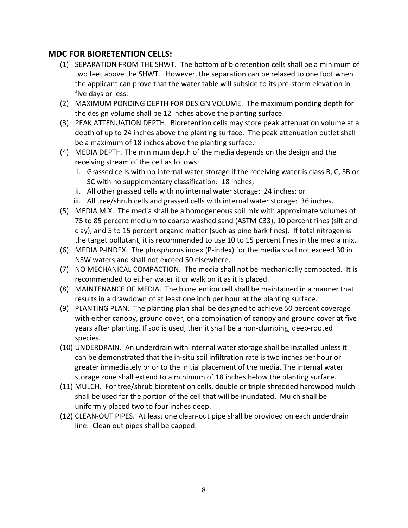#### **MDC FOR BIORETENTION CELLS:**

- (1) SEPARATION FROM THE SHWT. The bottom of bioretention cells shall be a minimum of two feet above the SHWT. However, the separation can be relaxed to one foot when the applicant can prove that the water table will subside to its pre-storm elevation in five days or less.
- (2) MAXIMUM PONDING DEPTH FOR DESIGN VOLUME. The maximum ponding depth for the design volume shall be 12 inches above the planting surface.
- (3) PEAK ATTENUATION DEPTH. Bioretention cells may store peak attenuation volume at a depth of up to 24 inches above the planting surface. The peak attenuation outlet shall be a maximum of 18 inches above the planting surface.
- (4) MEDIA DEPTH. The minimum depth of the media depends on the design and the receiving stream of the cell as follows:
	- i. Grassed cells with no internal water storage if the receiving water is class B, C, SB or SC with no supplementary classification: 18 inches;
	- ii. All other grassed cells with no internal water storage: 24 inches; or
	- iii. All tree/shrub cells and grassed cells with internal water storage: 36 inches.
- (5) MEDIA MIX. The media shall be a homogeneous soil mix with approximate volumes of: 75 to 85 percent medium to coarse washed sand (ASTM C33), 10 percent fines (silt and clay), and 5 to 15 percent organic matter (such as pine bark fines). If total nitrogen is the target pollutant, it is recommended to use 10 to 15 percent fines in the media mix.
- (6) MEDIA P-INDEX. The phosphorus index (P-index) for the media shall not exceed 30 in NSW waters and shall not exceed 50 elsewhere.
- (7) NO MECHANICAL COMPACTION. The media shall not be mechanically compacted. It is recommended to either water it or walk on it as it is placed.
- (8) MAINTENANCE OF MEDIA. The bioretention cell shall be maintained in a manner that results in a drawdown of at least one inch per hour at the planting surface.
- (9) PLANTING PLAN. The planting plan shall be designed to achieve 50 percent coverage with either canopy, ground cover, or a combination of canopy and ground cover at five years after planting. If sod is used, then it shall be a non-clumping, deep-rooted species.
- (10) UNDERDRAIN. An underdrain with internal water storage shall be installed unless it can be demonstrated that the in-situ soil infiltration rate is two inches per hour or greater immediately prior to the initial placement of the media. The internal water storage zone shall extend to a minimum of 18 inches below the planting surface.
- (11) MULCH. For tree/shrub bioretention cells, double or triple shredded hardwood mulch shall be used for the portion of the cell that will be inundated. Mulch shall be uniformly placed two to four inches deep.
- (12) CLEAN-OUT PIPES. At least one clean-out pipe shall be provided on each underdrain line. Clean out pipes shall be capped.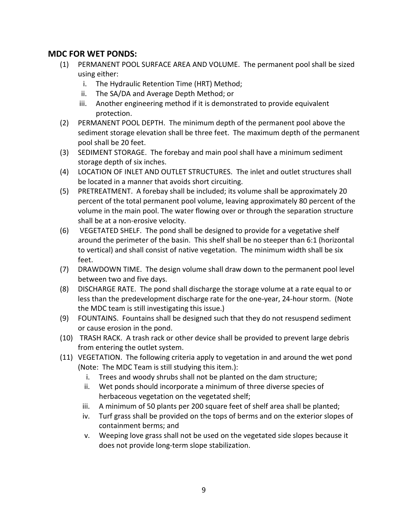#### **MDC FOR WET PONDS:**

- (1) PERMANENT POOL SURFACE AREA AND VOLUME. The permanent pool shall be sized using either:
	- i. The Hydraulic Retention Time (HRT) Method;
	- ii. The SA/DA and Average Depth Method; or
	- iii. Another engineering method if it is demonstrated to provide equivalent protection.
- (2) PERMANENT POOL DEPTH. The minimum depth of the permanent pool above the sediment storage elevation shall be three feet. The maximum depth of the permanent pool shall be 20 feet.
- (3) SEDIMENT STORAGE. The forebay and main pool shall have a minimum sediment storage depth of six inches.
- (4) LOCATION OF INLET AND OUTLET STRUCTURES. The inlet and outlet structures shall be located in a manner that avoids short circuiting.
- (5) PRETREATMENT. A forebay shall be included; its volume shall be approximately 20 percent of the total permanent pool volume, leaving approximately 80 percent of the volume in the main pool. The water flowing over or through the separation structure shall be at a non-erosive velocity.
- (6) VEGETATED SHELF. The pond shall be designed to provide for a vegetative shelf around the perimeter of the basin. This shelf shall be no steeper than 6:1 (horizontal to vertical) and shall consist of native vegetation. The minimum width shall be six feet.
- (7) DRAWDOWN TIME. The design volume shall draw down to the permanent pool level between two and five days.
- (8) DISCHARGE RATE. The pond shall discharge the storage volume at a rate equal to or less than the predevelopment discharge rate for the one-year, 24-hour storm. (Note the MDC team is still investigating this issue.)
- (9) FOUNTAINS. Fountains shall be designed such that they do not resuspend sediment or cause erosion in the pond.
- (10) TRASH RACK. A trash rack or other device shall be provided to prevent large debris from entering the outlet system.
- (11) VEGETATION. The following criteria apply to vegetation in and around the wet pond (Note: The MDC Team is still studying this item.):
	- i. Trees and woody shrubs shall not be planted on the dam structure;
	- ii. Wet ponds should incorporate a minimum of three diverse species of herbaceous vegetation on the vegetated shelf;
	- iii. A minimum of 50 plants per 200 square feet of shelf area shall be planted;
	- iv. Turf grass shall be provided on the tops of berms and on the exterior slopes of containment berms; and
	- v. Weeping love grass shall not be used on the vegetated side slopes because it does not provide long-term slope stabilization.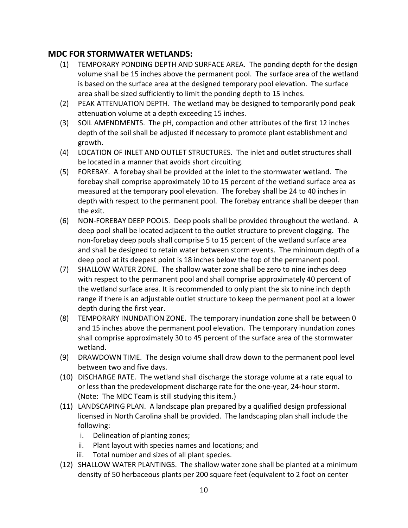### **MDC FOR STORMWATER WETLANDS:**

- (1) TEMPORARY PONDING DEPTH AND SURFACE AREA. The ponding depth for the design volume shall be 15 inches above the permanent pool. The surface area of the wetland is based on the surface area at the designed temporary pool elevation. The surface area shall be sized sufficiently to limit the ponding depth to 15 inches.
- (2) PEAK ATTENUATION DEPTH. The wetland may be designed to temporarily pond peak attenuation volume at a depth exceeding 15 inches.
- (3) SOIL AMENDMENTS. The pH, compaction and other attributes of the first 12 inches depth of the soil shall be adjusted if necessary to promote plant establishment and growth.
- (4) LOCATION OF INLET AND OUTLET STRUCTURES. The inlet and outlet structures shall be located in a manner that avoids short circuiting.
- (5) FOREBAY. A forebay shall be provided at the inlet to the stormwater wetland. The forebay shall comprise approximately 10 to 15 percent of the wetland surface area as measured at the temporary pool elevation. The forebay shall be 24 to 40 inches in depth with respect to the permanent pool. The forebay entrance shall be deeper than the exit.
- (6) NON-FOREBAY DEEP POOLS. Deep pools shall be provided throughout the wetland. A deep pool shall be located adjacent to the outlet structure to prevent clogging. The non-forebay deep pools shall comprise 5 to 15 percent of the wetland surface area and shall be designed to retain water between storm events. The minimum depth of a deep pool at its deepest point is 18 inches below the top of the permanent pool.
- (7) SHALLOW WATER ZONE. The shallow water zone shall be zero to nine inches deep with respect to the permanent pool and shall comprise approximately 40 percent of the wetland surface area. It is recommended to only plant the six to nine inch depth range if there is an adjustable outlet structure to keep the permanent pool at a lower depth during the first year.
- (8) TEMPORARY INUNDATION ZONE. The temporary inundation zone shall be between 0 and 15 inches above the permanent pool elevation. The temporary inundation zones shall comprise approximately 30 to 45 percent of the surface area of the stormwater wetland.
- (9) DRAWDOWN TIME. The design volume shall draw down to the permanent pool level between two and five days.
- (10) DISCHARGE RATE. The wetland shall discharge the storage volume at a rate equal to or less than the predevelopment discharge rate for the one-year, 24-hour storm. (Note: The MDC Team is still studying this item.)
- (11) LANDSCAPING PLAN. A landscape plan prepared by a qualified design professional licensed in North Carolina shall be provided. The landscaping plan shall include the following:
	- i. Delineation of planting zones;
	- ii. Plant layout with species names and locations; and
	- iii. Total number and sizes of all plant species.
- (12) SHALLOW WATER PLANTINGS. The shallow water zone shall be planted at a minimum density of 50 herbaceous plants per 200 square feet (equivalent to 2 foot on center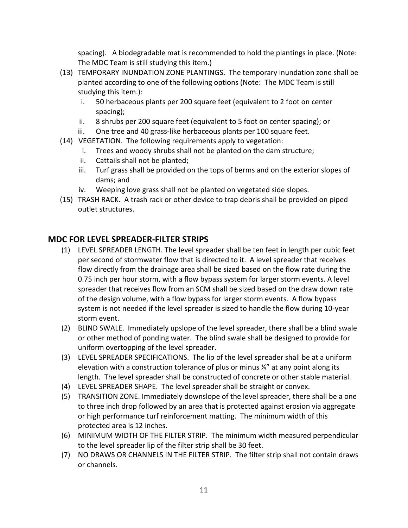spacing). A biodegradable mat is recommended to hold the plantings in place. (Note: The MDC Team is still studying this item.)

- (13) TEMPORARY INUNDATION ZONE PLANTINGS. The temporary inundation zone shall be planted according to one of the following options (Note: The MDC Team is still studying this item.):
	- i. 50 herbaceous plants per 200 square feet (equivalent to 2 foot on center spacing);
	- ii. 8 shrubs per 200 square feet (equivalent to 5 foot on center spacing); or
	- iii. One tree and 40 grass-like herbaceous plants per 100 square feet.
- (14) VEGETATION. The following requirements apply to vegetation:
	- i. Trees and woody shrubs shall not be planted on the dam structure;
	- ii. Cattails shall not be planted;
	- iii. Turf grass shall be provided on the tops of berms and on the exterior slopes of dams; and
	- iv. Weeping love grass shall not be planted on vegetated side slopes.
- (15) TRASH RACK. A trash rack or other device to trap debris shall be provided on piped outlet structures.

#### **MDC FOR LEVEL SPREADER-FILTER STRIPS**

- (1) LEVEL SPREADER LENGTH. The level spreader shall be ten feet in length per cubic feet per second of stormwater flow that is directed to it. A level spreader that receives flow directly from the drainage area shall be sized based on the flow rate during the 0.75 inch per hour storm, with a flow bypass system for larger storm events. A level spreader that receives flow from an SCM shall be sized based on the draw down rate of the design volume, with a flow bypass for larger storm events. A flow bypass system is not needed if the level spreader is sized to handle the flow during 10-year storm event.
- (2) BLIND SWALE. Immediately upslope of the level spreader, there shall be a blind swale or other method of ponding water. The blind swale shall be designed to provide for uniform overtopping of the level spreader.
- (3) LEVEL SPREADER SPECIFICATIONS. The lip of the level spreader shall be at a uniform elevation with a construction tolerance of plus or minus ¼" at any point along its length. The level spreader shall be constructed of concrete or other stable material.
- (4) LEVEL SPREADER SHAPE. The level spreader shall be straight or convex.
- (5) TRANSITION ZONE. Immediately downslope of the level spreader, there shall be a one to three inch drop followed by an area that is protected against erosion via aggregate or high performance turf reinforcement matting. The minimum width of this protected area is 12 inches.
- (6) MINIMUM WIDTH OF THE FILTER STRIP. The minimum width measured perpendicular to the level spreader lip of the filter strip shall be 30 feet.
- (7) NO DRAWS OR CHANNELS IN THE FILTER STRIP. The filter strip shall not contain draws or channels.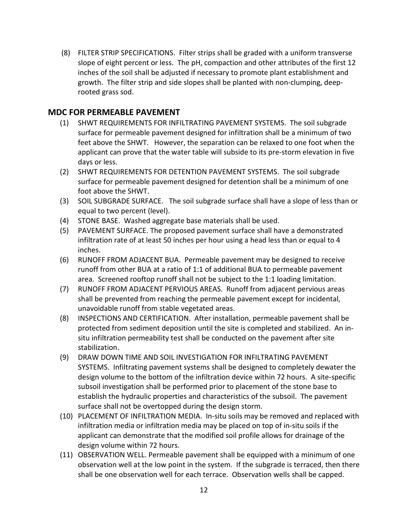(8) FILTER STRIP SPECIFICATIONS. Filter strips shall be graded with a uniform transverse slope of eight percent or less. The pH, compaction and other attributes of the first 12 inches of the soil shall be adjusted if necessary to promote plant establishment and growth. The filter strip and side slopes shall be planted with non-clumping, deeprooted grass sod.

#### **MDC FOR PERMEABLE PAVEMENT**

- (1) SHWT REQUIREMENTS FOR INFILTRATING PAVEMENT SYSTEMS. The soil subgrade surface for permeable pavement designed for infiltration shall be a minimum of two feet above the SHWT. However, the separation can be relaxed to one foot when the applicant can prove that the water table will subside to its pre-storm elevation in five days or less.
- (2) SHWT REQUIREMENTS FOR DETENTION PAVEMENT SYSTEMS. The soil subgrade surface for permeable pavement designed for detention shall be a minimum of one foot above the SHWT.
- (3) SOIL SUBGRADE SURFACE. The soil subgrade surface shall have a slope of less than or equal to two percent (level).
- (4) STONE BASE. Washed aggregate base materials shall be used.
- (5) PAVEMENT SURFACE. The proposed pavement surface shall have a demonstrated infiltration rate of at least 50 inches per hour using a head less than or equal to 4 inches.
- (6) RUNOFF FROM ADJACENT BUA. Permeable pavement may be designed to receive runoff from other BUA at a ratio of 1:1 of additional BUA to permeable pavement area. Screened rooftop runoff shall not be subject to the 1:1 loading limitation.
- (7) RUNOFF FROM ADJACENT PERVIOUS AREAS. Runoff from adjacent pervious areas shall be prevented from reaching the permeable pavement except for incidental, unavoidable runoff from stable vegetated areas.
- (8) INSPECTIONS AND CERTIFICATION. After installation, permeable pavement shall be protected from sediment deposition until the site is completed and stabilized. An insitu infiltration permeability test shall be conducted on the pavement after site stabilization.
- (9) DRAW DOWN TIME AND SOIL INVESTIGATION FOR INFILTRATING PAVEMENT SYSTEMS. Infiltrating pavement systems shall be designed to completely dewater the design volume to the bottom of the infiltration device within 72 hours. A site-specific subsoil investigation shall be performed prior to placement of the stone base to establish the hydraulic properties and characteristics of the subsoil. The pavement surface shall not be overtopped during the design storm.
- (10) PLACEMENT OF INFILTRATION MEDIA. In-situ soils may be removed and replaced with infiltration media or infiltration media may be placed on top of in-situ soils if the applicant can demonstrate that the modified soil profile allows for drainage of the design volume within 72 hours.
- (11) OBSERVATION WELL. Permeable pavement shall be equipped with a minimum of one observation well at the low point in the system. If the subgrade is terraced, then there shall be one observation well for each terrace. Observation wells shall be capped.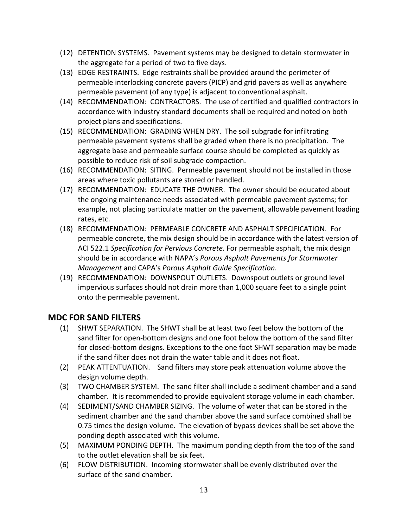- (12) DETENTION SYSTEMS. Pavement systems may be designed to detain stormwater in the aggregate for a period of two to five days.
- (13) EDGE RESTRAINTS. Edge restraints shall be provided around the perimeter of permeable interlocking concrete pavers (PICP) and grid pavers as well as anywhere permeable pavement (of any type) is adjacent to conventional asphalt.
- (14) RECOMMENDATION: CONTRACTORS. The use of certified and qualified contractors in accordance with industry standard documents shall be required and noted on both project plans and specifications.
- (15) RECOMMENDATION: GRADING WHEN DRY. The soil subgrade for infiltrating permeable pavement systems shall be graded when there is no precipitation. The aggregate base and permeable surface course should be completed as quickly as possible to reduce risk of soil subgrade compaction.
- (16) RECOMMENDATION: SITING. Permeable pavement should not be installed in those areas where toxic pollutants are stored or handled.
- (17) RECOMMENDATION: EDUCATE THE OWNER. The owner should be educated about the ongoing maintenance needs associated with permeable pavement systems; for example, not placing particulate matter on the pavement, allowable pavement loading rates, etc.
- (18) RECOMMENDATION: PERMEABLE CONCRETE AND ASPHALT SPECIFICATION. For permeable concrete, the mix design should be in accordance with the latest version of ACI 522.1 *Specification for Pervious Concrete*. For permeable asphalt, the mix design should be in accordance with NAPA's *Porous Asphalt Pavements for Stormwater Management* and CAPA's *Porous Asphalt Guide Specification*.
- (19) RECOMMENDATION: DOWNSPOUT OUTLETS. Downspout outlets or ground level impervious surfaces should not drain more than 1,000 square feet to a single point onto the permeable pavement.

#### **MDC FOR SAND FILTERS**

- (1) SHWT SEPARATION. The SHWT shall be at least two feet below the bottom of the sand filter for open-bottom designs and one foot below the bottom of the sand filter for closed-bottom designs. Exceptions to the one foot SHWT separation may be made if the sand filter does not drain the water table and it does not float.
- (2) PEAK ATTENTUATION. Sand filters may store peak attenuation volume above the design volume depth.
- (3) TWO CHAMBER SYSTEM. The sand filter shall include a sediment chamber and a sand chamber. It is recommended to provide equivalent storage volume in each chamber.
- (4) SEDIMENT/SAND CHAMBER SIZING. The volume of water that can be stored in the sediment chamber and the sand chamber above the sand surface combined shall be 0.75 times the design volume. The elevation of bypass devices shall be set above the ponding depth associated with this volume.
- (5) MAXIMUM PONDING DEPTH. The maximum ponding depth from the top of the sand to the outlet elevation shall be six feet.
- (6) FLOW DISTRIBUTION. Incoming stormwater shall be evenly distributed over the surface of the sand chamber.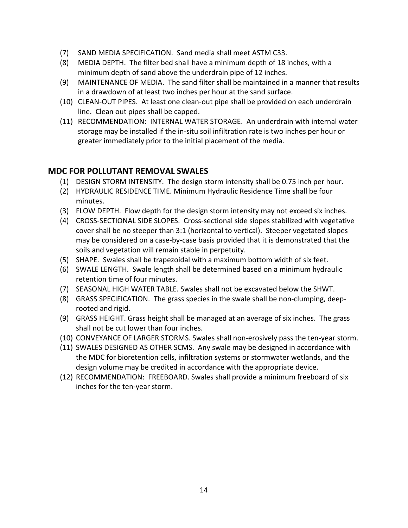- (7) SAND MEDIA SPECIFICATION. Sand media shall meet ASTM C33.
- (8) MEDIA DEPTH. The filter bed shall have a minimum depth of 18 inches, with a minimum depth of sand above the underdrain pipe of 12 inches.
- (9) MAINTENANCE OF MEDIA. The sand filter shall be maintained in a manner that results in a drawdown of at least two inches per hour at the sand surface.
- (10) CLEAN-OUT PIPES. At least one clean-out pipe shall be provided on each underdrain line. Clean out pipes shall be capped.
- (11) RECOMMENDATION: INTERNAL WATER STORAGE. An underdrain with internal water storage may be installed if the in-situ soil infiltration rate is two inches per hour or greater immediately prior to the initial placement of the media.

#### **MDC FOR POLLUTANT REMOVAL SWALES**

- (1) DESIGN STORM INTENSITY. The design storm intensity shall be 0.75 inch per hour.
- (2) HYDRAULIC RESIDENCE TIME. Minimum Hydraulic Residence Time shall be four minutes.
- (3) FLOW DEPTH. Flow depth for the design storm intensity may not exceed six inches.
- (4) CROSS-SECTIONAL SIDE SLOPES. Cross-sectional side slopes stabilized with vegetative cover shall be no steeper than 3:1 (horizontal to vertical). Steeper vegetated slopes may be considered on a case-by-case basis provided that it is demonstrated that the soils and vegetation will remain stable in perpetuity.
- (5) SHAPE. Swales shall be trapezoidal with a maximum bottom width of six feet.
- (6) SWALE LENGTH. Swale length shall be determined based on a minimum hydraulic retention time of four minutes.
- (7) SEASONAL HIGH WATER TABLE. Swales shall not be excavated below the SHWT.
- (8) GRASS SPECIFICATION. The grass species in the swale shall be non-clumping, deeprooted and rigid.
- (9) GRASS HEIGHT. Grass height shall be managed at an average of six inches. The grass shall not be cut lower than four inches.
- (10) CONVEYANCE OF LARGER STORMS. Swales shall non-erosively pass the ten-year storm.
- (11) SWALES DESIGNED AS OTHER SCMS. Any swale may be designed in accordance with the MDC for bioretention cells, infiltration systems or stormwater wetlands, and the design volume may be credited in accordance with the appropriate device.
- (12) RECOMMENDATION: FREEBOARD. Swales shall provide a minimum freeboard of six inches for the ten-year storm.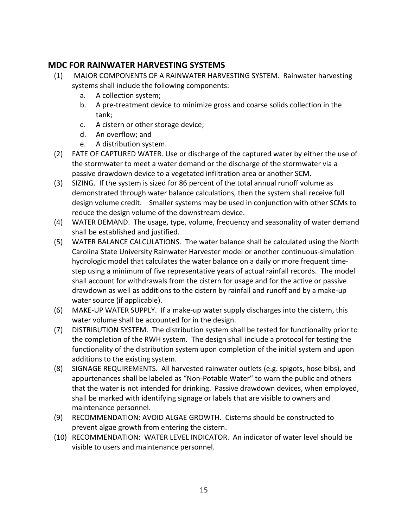## **MDC FOR RAINWATER HARVESTING SYSTEMS**

- (1) MAJOR COMPONENTS OF A RAINWATER HARVESTING SYSTEM. Rainwater harvesting systems shall include the following components:
	- a. A collection system;
	- b. A pre-treatment device to minimize gross and coarse solids collection in the tank;
	- c. A cistern or other storage device;
	- d. An overflow; and
	- e. A distribution system.
- (2) FATE OF CAPTURED WATER. Use or discharge of the captured water by either the use of the stormwater to meet a water demand or the discharge of the stormwater via a passive drawdown device to a vegetated infiltration area or another SCM.
- (3) SIZING. If the system is sized for 86 percent of the total annual runoff volume as demonstrated through water balance calculations, then the system shall receive full design volume credit. Smaller systems may be used in conjunction with other SCMs to reduce the design volume of the downstream device.
- (4) WATER DEMAND. The usage, type, volume, frequency and seasonality of water demand shall be established and justified.
- (5) WATER BALANCE CALCULATIONS. The water balance shall be calculated using the North Carolina State University Rainwater Harvester model or another continuous-simulation hydrologic model that calculates the water balance on a daily or more frequent timestep using a minimum of five representative years of actual rainfall records. The model shall account for withdrawals from the cistern for usage and for the active or passive drawdown as well as additions to the cistern by rainfall and runoff and by a make-up water source (if applicable).
- (6) MAKE-UP WATER SUPPLY. If a make-up water supply discharges into the cistern, this water volume shall be accounted for in the design.
- (7) DISTRIBUTION SYSTEM. The distribution system shall be tested for functionality prior to the completion of the RWH system. The design shall include a protocol for testing the functionality of the distribution system upon completion of the initial system and upon additions to the existing system.
- (8) SIGNAGE REQUIREMENTS. All harvested rainwater outlets (e.g. spigots, hose bibs), and appurtenances shall be labeled as "Non-Potable Water" to warn the public and others that the water is not intended for drinking. Passive drawdown devices, when employed, shall be marked with identifying signage or labels that are visible to owners and maintenance personnel.
- (9) RECOMMENDATION: AVOID ALGAE GROWTH. Cisterns should be constructed to prevent algae growth from entering the cistern.
- (10) RECOMMENDATION: WATER LEVEL INDICATOR. An indicator of water level should be visible to users and maintenance personnel.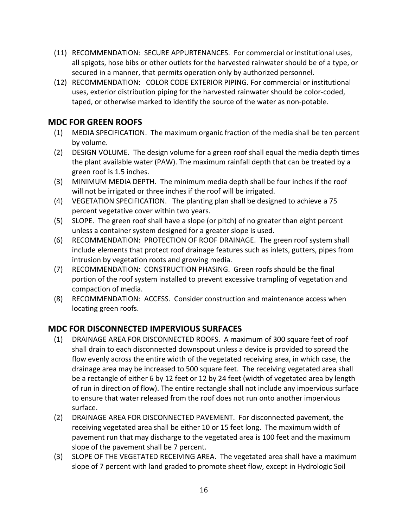- (11) RECOMMENDATION: SECURE APPURTENANCES. For commercial or institutional uses, all spigots, hose bibs or other outlets for the harvested rainwater should be of a type, or secured in a manner, that permits operation only by authorized personnel.
- (12) RECOMMENDATION: COLOR CODE EXTERIOR PIPING. For commercial or institutional uses, exterior distribution piping for the harvested rainwater should be color-coded, taped, or otherwise marked to identify the source of the water as non-potable.

## **MDC FOR GREEN ROOFS**

- (1) MEDIA SPECIFICATION. The maximum organic fraction of the media shall be ten percent by volume.
- (2) DESIGN VOLUME. The design volume for a green roof shall equal the media depth times the plant available water (PAW). The maximum rainfall depth that can be treated by a green roof is 1.5 inches.
- (3) MINIMUM MEDIA DEPTH. The minimum media depth shall be four inches if the roof will not be irrigated or three inches if the roof will be irrigated.
- (4) VEGETATION SPECIFICATION. The planting plan shall be designed to achieve a 75 percent vegetative cover within two years.
- (5) SLOPE. The green roof shall have a slope (or pitch) of no greater than eight percent unless a container system designed for a greater slope is used.
- (6) RECOMMENDATION: PROTECTION OF ROOF DRAINAGE. The green roof system shall include elements that protect roof drainage features such as inlets, gutters, pipes from intrusion by vegetation roots and growing media.
- (7) RECOMMENDATION: CONSTRUCTION PHASING. Green roofs should be the final portion of the roof system installed to prevent excessive trampling of vegetation and compaction of media.
- (8) RECOMMENDATION: ACCESS. Consider construction and maintenance access when locating green roofs.

## **MDC FOR DISCONNECTED IMPERVIOUS SURFACES**

- (1) DRAINAGE AREA FOR DISCONNECTED ROOFS. A maximum of 300 square feet of roof shall drain to each disconnected downspout unless a device is provided to spread the flow evenly across the entire width of the vegetated receiving area, in which case, the drainage area may be increased to 500 square feet. The receiving vegetated area shall be a rectangle of either 6 by 12 feet or 12 by 24 feet (width of vegetated area by length of run in direction of flow). The entire rectangle shall not include any impervious surface to ensure that water released from the roof does not run onto another impervious surface.
- (2) DRAINAGE AREA FOR DISCONNECTED PAVEMENT. For disconnected pavement, the receiving vegetated area shall be either 10 or 15 feet long. The maximum width of pavement run that may discharge to the vegetated area is 100 feet and the maximum slope of the pavement shall be 7 percent.
- (3) SLOPE OF THE VEGETATED RECEIVING AREA. The vegetated area shall have a maximum slope of 7 percent with land graded to promote sheet flow, except in Hydrologic Soil